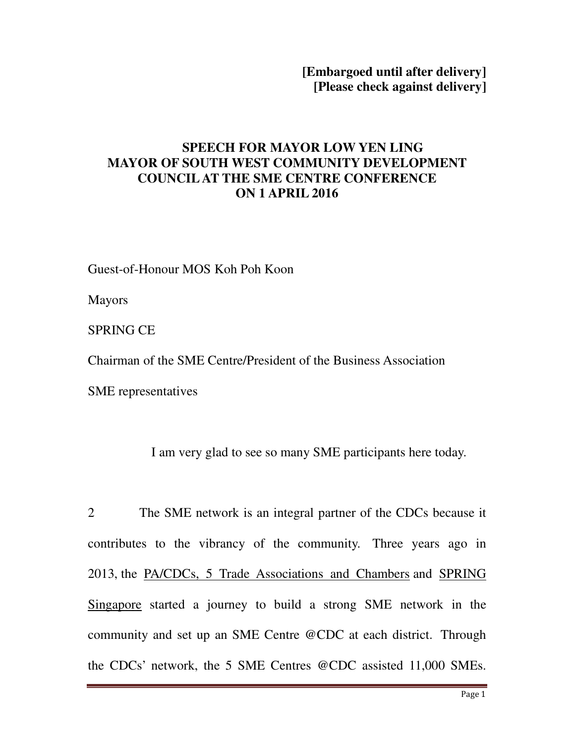**[Embargoed until after delivery] [Please check against delivery]** 

## **SPEECH FOR MAYOR LOW YEN LING MAYOR OF SOUTH WEST COMMUNITY DEVELOPMENT COUNCIL AT THE SME CENTRE CONFERENCE ON 1 APRIL 2016**

Guest-of-Honour MOS Koh Poh Koon

Mayors

SPRING CE

Chairman of the SME Centre/President of the Business Association

SME representatives

I am very glad to see so many SME participants here today.

2 The SME network is an integral partner of the CDCs because it contributes to the vibrancy of the community. Three years ago in 2013, the PA/CDCs, 5 Trade Associations and Chambers and SPRING Singapore started a journey to build a strong SME network in the community and set up an SME Centre @CDC at each district. Through the CDCs' network, the 5 SME Centres @CDC assisted 11,000 SMEs.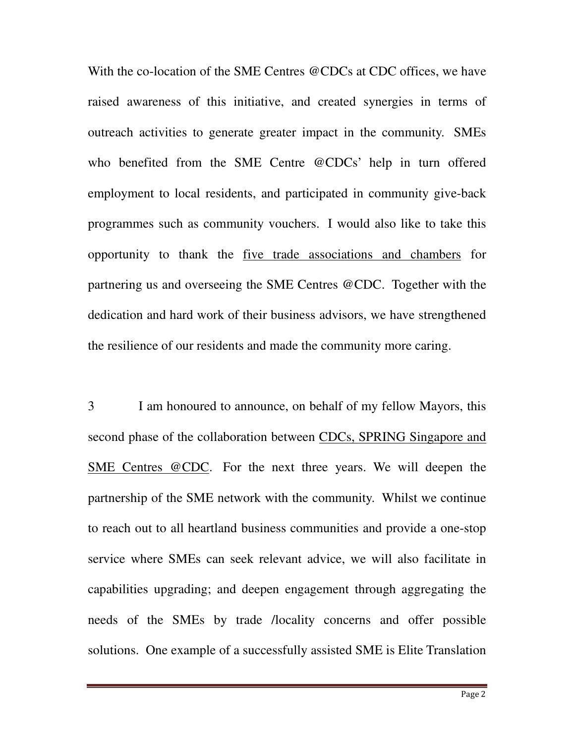With the co-location of the SME Centres @CDCs at CDC offices, we have raised awareness of this initiative, and created synergies in terms of outreach activities to generate greater impact in the community. SMEs who benefited from the SME Centre @CDCs' help in turn offered employment to local residents, and participated in community give-back programmes such as community vouchers. I would also like to take this opportunity to thank the five trade associations and chambers for partnering us and overseeing the SME Centres @CDC. Together with the dedication and hard work of their business advisors, we have strengthened the resilience of our residents and made the community more caring.

3 I am honoured to announce, on behalf of my fellow Mayors, this second phase of the collaboration between CDCs, SPRING Singapore and SME Centres @CDC. For the next three years. We will deepen the partnership of the SME network with the community. Whilst we continue to reach out to all heartland business communities and provide a one-stop service where SMEs can seek relevant advice, we will also facilitate in capabilities upgrading; and deepen engagement through aggregating the needs of the SMEs by trade /locality concerns and offer possible solutions. One example of a successfully assisted SME is Elite Translation